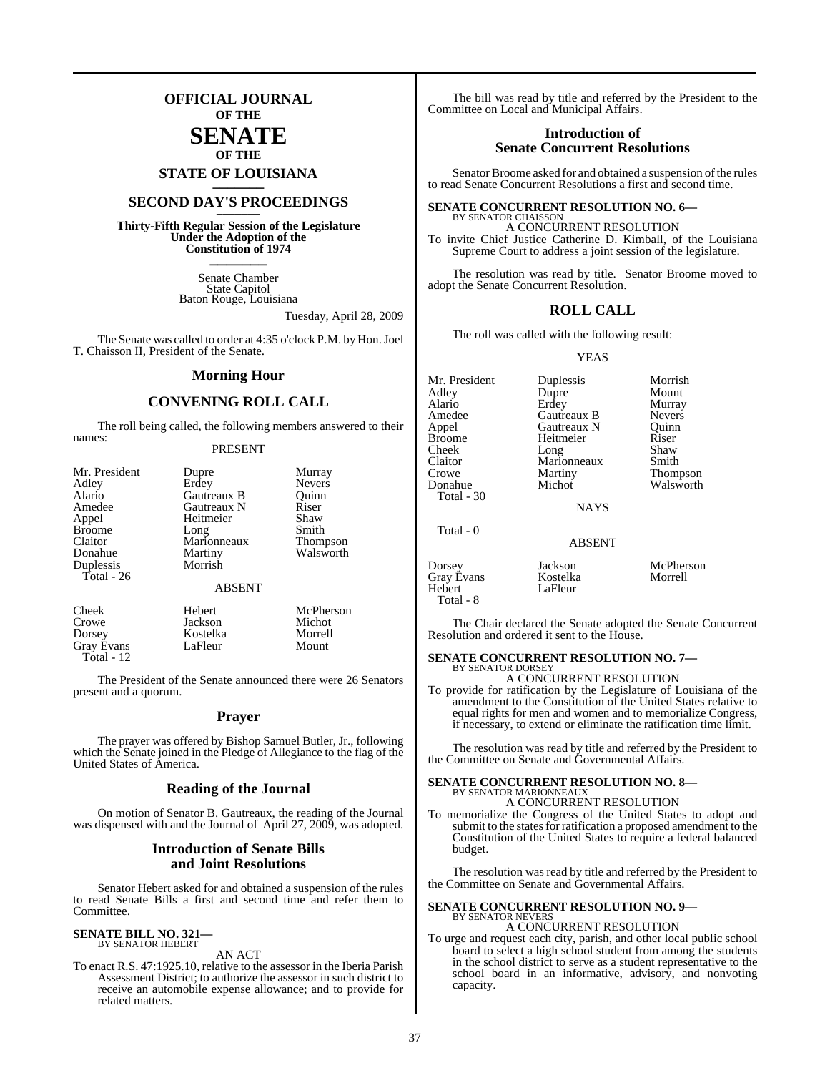## **OFFICIAL JOURNAL OF THE**

### **SENATE OF THE**

**STATE OF LOUISIANA \_\_\_\_\_\_\_**

## **SECOND DAY'S PROCEEDINGS \_\_\_\_\_\_\_**

**Thirty-Fifth Regular Session of the Legislature Under the Adoption of the Constitution of 1974 \_\_\_\_\_\_\_**

> Senate Chamber State Capitol Baton Rouge, Louisiana

> > Tuesday, April 28, 2009

The Senate was called to order at 4:35 o'clock P.M. by Hon. Joel T. Chaisson II, President of the Senate.

#### **Morning Hour**

#### **CONVENING ROLL CALL**

The roll being called, the following members answered to their names:

#### PRESENT

| Mr. President<br>Adley<br>Alario<br>Amedee<br>Appel<br><b>Broome</b><br>Claitor<br>Donahue<br>Duplessis<br>Total - 26 | Dupre<br>Erdey<br>Gautreaux B<br>Gautreaux N<br>Heitmeier<br>Long<br>Marionneaux<br>Martiny<br>Morrish | Murray<br><b>Nevers</b><br>Quinn<br>Riser<br>Shaw<br>Smith<br><b>Thompson</b><br>Walsworth |
|-----------------------------------------------------------------------------------------------------------------------|--------------------------------------------------------------------------------------------------------|--------------------------------------------------------------------------------------------|
|                                                                                                                       | <b>ABSENT</b>                                                                                          |                                                                                            |
| Cheek<br>Crowe                                                                                                        | Hebert<br>Jackson                                                                                      | McPherson<br>Michot                                                                        |

Dorsey Kostelka Morrell Gray Evans LaFleur Mount

The President of the Senate announced there were 26 Senators present and a quorum.

#### **Prayer**

The prayer was offered by Bishop Samuel Butler, Jr., following which the Senate joined in the Pledge of Allegiance to the flag of the United States of America.

#### **Reading of the Journal**

On motion of Senator B. Gautreaux, the reading of the Journal was dispensed with and the Journal of April 27, 2009, was adopted.

#### **Introduction of Senate Bills and Joint Resolutions**

Senator Hebert asked for and obtained a suspension of the rules to read Senate Bills a first and second time and refer them to Committee.

# **SENATE BILL NO. 321—** BY SENATOR HEBERT

Total - 12

AN ACT

To enact R.S. 47:1925.10, relative to the assessor in the Iberia Parish Assessment District; to authorize the assessor in such district to receive an automobile expense allowance; and to provide for related matters.

The bill was read by title and referred by the President to the Committee on Local and Municipal Affairs.

#### **Introduction of Senate Concurrent Resolutions**

Senator Broome asked for and obtained a suspension of the rules to read Senate Concurrent Resolutions a first and second time.

#### **SENATE CONCURRENT RESOLUTION NO. 6—** BY SENATOR CHAISSON A CONCURRENT RESOLUTION

To invite Chief Justice Catherine D. Kimball, of the Louisiana Supreme Court to address a joint session of the legislature.

The resolution was read by title. Senator Broome moved to adopt the Senate Concurrent Resolution.

#### **ROLL CALL**

The roll was called with the following result:

YEAS

| Mr. President<br>Adley<br>Alario<br>Amedee<br>Appel<br><b>Broome</b><br>Cheek<br>Claitor<br>Crowe<br>Donahue<br>Total - 30 | Duplessis<br>Dupre<br>Erdey<br>Gautreaux B<br>Gautreaux N<br>Heitmeier<br>Long<br>Marionneaux<br>Martiny<br>Michot<br><b>NAYS</b> | Morrish<br>Mount<br>Murray<br><b>Nevers</b><br>Ouinn<br>Riser<br>Shaw<br>Smith<br><b>Thompson</b><br>Walsworth |
|----------------------------------------------------------------------------------------------------------------------------|-----------------------------------------------------------------------------------------------------------------------------------|----------------------------------------------------------------------------------------------------------------|
| Total - 0                                                                                                                  | <b>ABSENT</b>                                                                                                                     |                                                                                                                |
| Dorsey<br><b>Gray Evans</b><br>Hebert                                                                                      | Jackson<br>Kostelka<br>LaFleur                                                                                                    | McPherson<br>Morrell                                                                                           |

The Chair declared the Senate adopted the Senate Concurrent Resolution and ordered it sent to the House.

# **SENATE CONCURRENT RESOLUTION NO. 7—** BY SENATOR DORSEY

Total - 8

A CONCURRENT RESOLUTION

To provide for ratification by the Legislature of Louisiana of the amendment to the Constitution of the United States relative to equal rights for men and women and to memorialize Congress, if necessary, to extend or eliminate the ratification time limit.

The resolution was read by title and referred by the President to the Committee on Senate and Governmental Affairs.

#### **SENATE CONCURRENT RESOLUTION NO. 8—** BY SENATOR MARIONNEAUX A CONCURRENT RESOLUTION

To memorialize the Congress of the United States to adopt and submit to the states for ratification a proposed amendment to the Constitution of the United States to require a federal balanced budget.

The resolution was read by title and referred by the President to the Committee on Senate and Governmental Affairs.

#### **SENATE CONCURRENT RESOLUTION NO. 9—** BY SENATOR NEVERS A CONCURRENT RESOLUTION

To urge and request each city, parish, and other local public school board to select a high school student from among the students in the school district to serve as a student representative to the school board in an informative, advisory, and nonvoting capacity.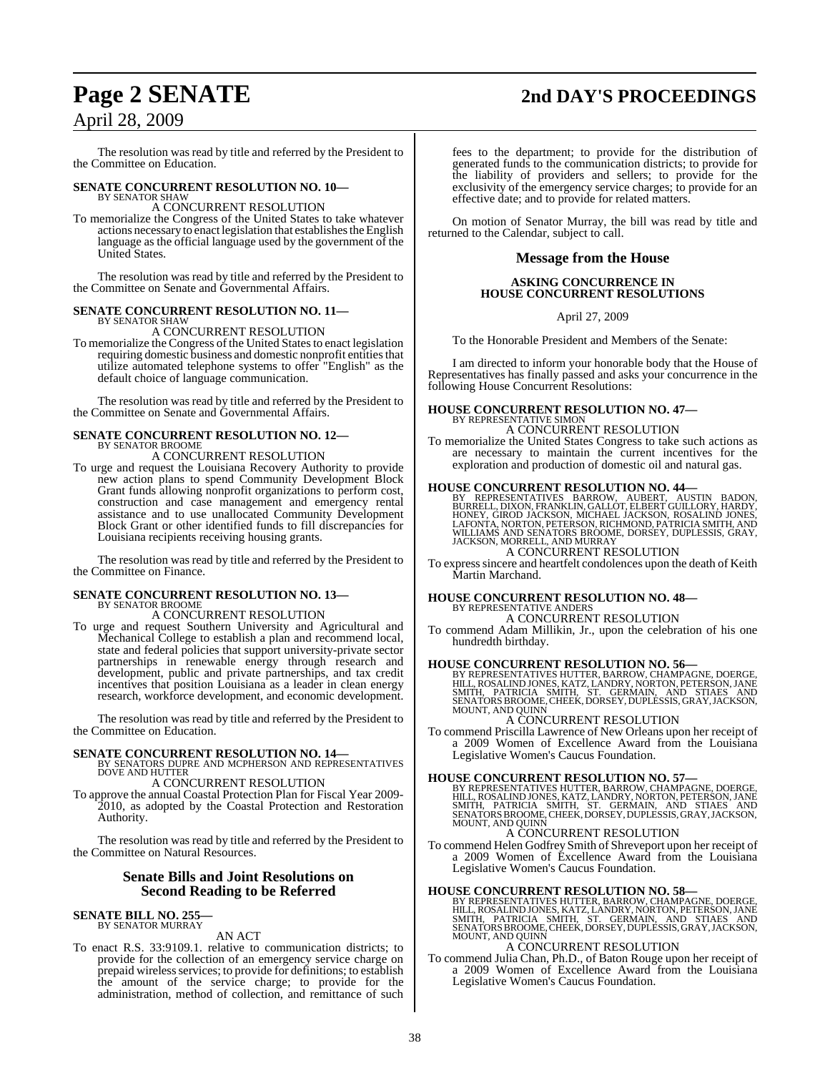# **Page 2 SENATE 2nd DAY'S PROCEEDINGS** April 28, 2009

The resolution was read by title and referred by the President to the Committee on Education.

# **SENATE CONCURRENT RESOLUTION NO. 10—** BY SENATOR SHAW

A CONCURRENT RESOLUTION

To memorialize the Congress of the United States to take whatever actions necessary to enact legislation that establishes the English language as the official language used by the government of the United States.

The resolution was read by title and referred by the President to the Committee on Senate and Governmental Affairs.

#### **SENATE CONCURRENT RESOLUTION NO. 11—** BY SENATOR SHAW

A CONCURRENT RESOLUTION

To memorialize the Congress of the United States to enact legislation requiring domestic business and domestic nonprofit entities that utilize automated telephone systems to offer "English" as the default choice of language communication.

The resolution was read by title and referred by the President to the Committee on Senate and Governmental Affairs.

## **SENATE CONCURRENT RESOLUTION NO. 12—** BY SENATOR BROOME A CONCURRENT RESOLUTION

To urge and request the Louisiana Recovery Authority to provide new action plans to spend Community Development Block Grant funds allowing nonprofit organizations to perform cost, construction and case management and emergency rental assistance and to use unallocated Community Development Block Grant or other identified funds to fill discrepancies for Louisiana recipients receiving housing grants.

The resolution was read by title and referred by the President to the Committee on Finance.

# **SENATE CONCURRENT RESOLUTION NO. 13—** BY SENATOR BROOME

A CONCURRENT RESOLUTION

To urge and request Southern University and Agricultural and Mechanical College to establish a plan and recommend local, state and federal policies that support university-private sector partnerships in renewable energy through research and development, public and private partnerships, and tax credit incentives that position Louisiana as a leader in clean energy research, workforce development, and economic development.

The resolution was read by title and referred by the President to the Committee on Education.

#### **SENATE CONCURRENT RESOLUTION NO. 14—**

- BY SENATORS DUPRE AND MCPHERSON AND REPRESENTATIVES DOVE AND HUTTER A CONCURRENT RESOLUTION
- To approve the annual Coastal Protection Plan for Fiscal Year 2009- 2010, as adopted by the Coastal Protection and Restoration Authority.

The resolution was read by title and referred by the President to the Committee on Natural Resources.

#### **Senate Bills and Joint Resolutions on Second Reading to be Referred**

#### **SENATE BILL NO. 255** BY SENATOR MURRAY

AN ACT

To enact R.S. 33:9109.1. relative to communication districts; to provide for the collection of an emergency service charge on prepaid wireless services; to provide for definitions; to establish the amount of the service charge; to provide for the administration, method of collection, and remittance of such

# fees to the department; to provide for the distribution of

generated funds to the communication districts; to provide for the liability of providers and sellers; to provide for the exclusivity of the emergency service charges; to provide for an effective date; and to provide for related matters.

On motion of Senator Murray, the bill was read by title and returned to the Calendar, subject to call.

### **Message from the House**

#### **ASKING CONCURRENCE IN HOUSE CONCURRENT RESOLUTIONS**

April 27, 2009

To the Honorable President and Members of the Senate:

I am directed to inform your honorable body that the House of Representatives has finally passed and asks your concurrence in the following House Concurrent Resolutions:

# **HOUSE CONCURRENT RESOLUTION NO. 47—** BY REPRESENTATIVE SIMON

A CONCURRENT RESOLUTION To memorialize the United States Congress to take such actions as are necessary to maintain the current incentives for the exploration and production of domestic oil and natural gas.

#### **HOUSE CONCURRENT RESOLUTION NO. 44—**

BY REPRESENTATIVES BARROW, AUBERT, AUSTIN BADON,<br>BURRELL, DIXON,FRANKLIN,GALLOT,ELBERTGUILLORY,HARDY,<br>HONEY, GIROD JACKSON,MICHAEL JACKSON,ROSALIND JONES,<br>LAFONTA,NORTON,PETERSON,RICHMOND,PATRICIA SMITH,AND<br>WILLIAMS AND SE

A CONCURRENT RESOLUTION To expresssincere and heartfelt condolences upon the death of Keith Martin Marchand.

# **HOUSE CONCURRENT RESOLUTION NO. 48—** BY REPRESENTATIVE ANDERS

A CONCURRENT RESOLUTION To commend Adam Millikin, Jr., upon the celebration of his one hundredth birthday.

#### **HOUSE CONCURRENT RESOLUTION NO. 56—**

BY REPRESENTATIVES HUTTER, BARROW, CHAMPAGNE, DOERGE,<br>HILL, ROSALIND JONES, KATZ, LANDRY, NORTON, PETERSON, JANE<br>SMITH, PATRICIA SMITH, ST. GERMAIN, AND STIAES AND<br>SENATORS BROOME, CHEEK, DORSEY, DUPLESSIS, GRA

### A CONCURRENT RESOLUTION

To commend Priscilla Lawrence of New Orleans upon her receipt of a 2009 Women of Excellence Award from the Louisiana Legislative Women's Caucus Foundation.

**HOUSE CONCURRENT RESOLUTION NO. 57—**<br>BY REPRESENTATIVES HUTTER, BARROW, CHAMPAGNE, DOERGE,<br>HILL, ROSALIND JONES, KATZ, LANDRY, NORTON, PETERSON, JANE<br>SMITH, PATRICIA SMITH, ST. GERMAIN, AND STIAES, AND<br>SENATORS BROOME, CH

#### A CONCURRENT RESOLUTION

To commend Helen Godfrey Smith of Shreveport upon her receipt of a 2009 Women of Excellence Award from the Louisiana Legislative Women's Caucus Foundation.

#### **HOUSE CONCURRENT RESOLUTION NO. 58—**

BY REPRESENTATIVES HUTTER, BARROW, CHAMPAGNE, DOERGE,<br>HILL, ROSALIND JONES, KATZ, LANDRY, NORTON, PETERSON, JANE<br>SMITH, PATRICIA SMITH, ST. GERMAIN, AND STIAES AND<br>SENATORS BROOME, CHEEK, DORSEY, DUPLESSIS, GRAY, JACKSON, MOUNT, AND QUINN

#### A CONCURRENT RESOLUTION

To commend Julia Chan, Ph.D., of Baton Rouge upon her receipt of a 2009 Women of Excellence Award from the Louisiana Legislative Women's Caucus Foundation.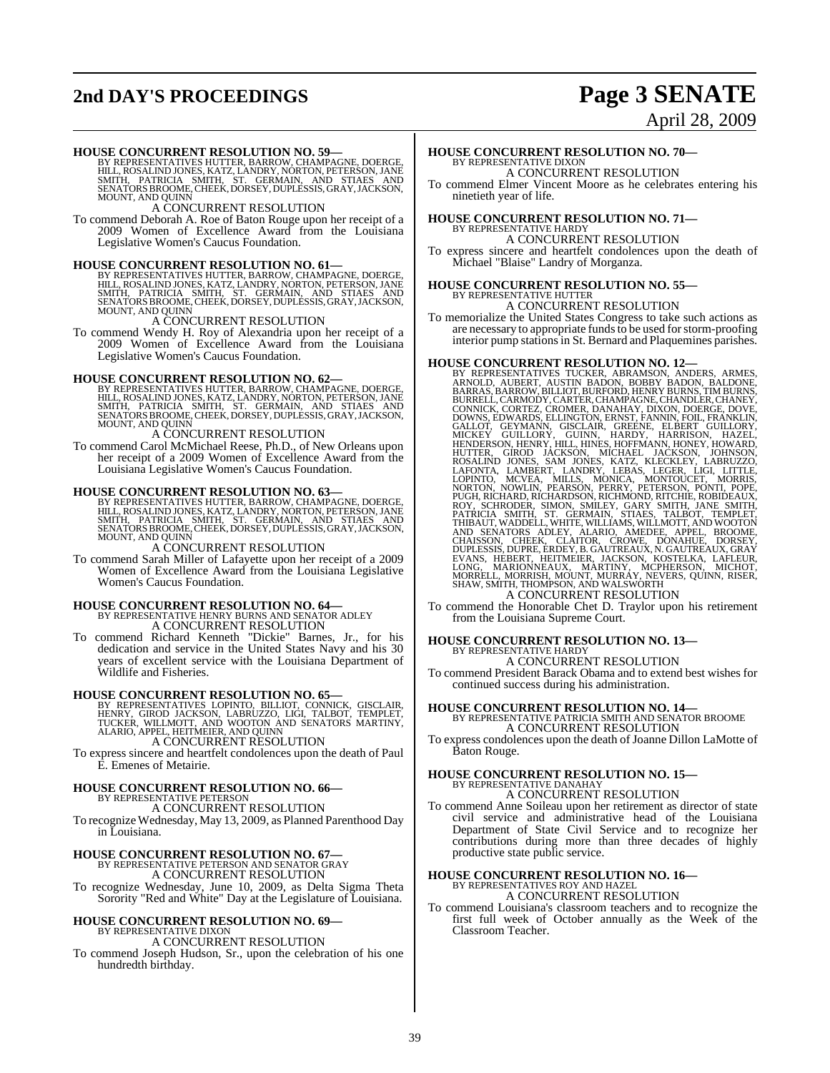# **2nd DAY'S PROCEEDINGS Page 3 SENATE**

# April 28, 2009

**HOUSE CONCURRENT RESOLUTION NO. 59—**<br>BY REPRESENTATIVES HUTTER, BARROW, CHAMPAGNE, DOERGE,<br>HILL, ROSALIND JONES, KATZ, LANDRY, NORTON, PETERSON, JANE<br>SMITH, PATRICIA SMITH, ST. GERMAIN, AND STIAES AND<br>SENATORS BROOME, CHE

A CONCURRENT RESOLUTION

To commend Deborah A. Roe of Baton Rouge upon her receipt of a 2009 Women of Excellence Award from the Louisiana Legislative Women's Caucus Foundation.

**HOUSE CONCURRENT RESOLUTION NO. 61—**<br>BY REPRESENTATIVES HUTTER, BARROW, CHAMPAGNE, DOERGE,<br>HILL, ROSALIND JONES, KATZ, LANDRY, NORTON, PETERSON, JANE<br>SMITH, PATRICIA SMITH, ST. GERMAIN, AND STIAES AND<br>SENATORS BROOME, CHE MOUNT, AND QUINN

A CONCURRENT RESOLUTION

To commend Wendy H. Roy of Alexandria upon her receipt of a 2009 Women of Excellence Award from the Louisiana Legislative Women's Caucus Foundation.

#### **HOUSE CONCURRENT RESOLUTION NO. 62—**

BY REPRESENTATIVES HUTTER, BARROW, CHAMPAGNE, DOERGE,<br>HILL, ROSALIND JONES, KATZ, LANDRY, NORTON, PETERSON, JANE<br>SMITH, PATRICIA - SMITH, - ST. - GERMAIN, - AND - STIAES - AND<br>SENATORS BROOME, CHEEK, DORSEY, DUPLESSIS, GRA

#### A CONCURRENT RESOLUTION

To commend Carol McMichael Reese, Ph.D., of New Orleans upon her receipt of a 2009 Women of Excellence Award from the Louisiana Legislative Women's Caucus Foundation.

**HOUSE CONCURRENT RESOLUTION NO. 63**<br>BY REPRESENTATIVES HUTTER, BARROW, CHAMPAGNE, DOERGE,<br>HILL, ROSALIND JONES, KATZ, LANDRY, NORTON, PETERSON, JANE<br>SMITH, PATRICIA SMITH, ST. GERMAIN, AND STIAES AND<br>SENATORS BROOME, CHEE MOUNT, AND QUINN

#### A CONCURRENT RESOLUTION

To commend Sarah Miller of Lafayette upon her receipt of a 2009 Women of Excellence Award from the Louisiana Legislative Women's Caucus Foundation.

# **HOUSE CONCURRENT RESOLUTION NO. 64—** BY REPRESENTATIVE HENRY BURNS AND SENATOR ADLEY

A CONCURRENT RESOLUTION To commend Richard Kenneth "Dickie" Barnes, Jr., for his

dedication and service in the United States Navy and his 30 years of excellent service with the Louisiana Department of Wildlife and Fisheries.

**HOUSE CONCURRENT RESOLUTION NO. 65—**<br>BY REPRESENTATIVES LOPINTO, BILLIOT, CONNICK, GISCLAIR, HENRY, GIROD JACKSON, LABRUZZO, LIGI, TALBOT, TEMPLET,<br>TUCKER, WILLMOTT, AND WOOTON AND SENATORS MARTINY,<br>ALARIO, APPEL, HEITMEI

To express sincere and heartfelt condolences upon the death of Paul E. Emenes of Metairie.

### **HOUSE CONCURRENT RESOLUTION NO. 66—** BY REPRESENTATIVE PETERSON A CONCURRENT RESOLUTION

To recognize Wednesday, May 13, 2009, as Planned Parenthood Day in Louisiana.

## **HOUSE CONCURRENT RESOLUTION NO. 67—**

BY REPRESENTATIVE PETERSON AND SENATOR GRAY A CONCURRENT RESOLUTION

To recognize Wednesday, June 10, 2009, as Delta Sigma Theta Sorority "Red and White" Day at the Legislature of Louisiana.

# **HOUSE CONCURRENT RESOLUTION NO. 69—** BY REPRESENTATIVE DIXON

A CONCURRENT RESOLUTION To commend Joseph Hudson, Sr., upon the celebration of his one hundredth birthday.

# **HOUSE CONCURRENT RESOLUTION NO. 70—** BY REPRESENTATIVE DIXON

A CONCURRENT RESOLUTION To commend Elmer Vincent Moore as he celebrates entering his ninetieth year of life.

## **HOUSE CONCURRENT RESOLUTION NO. 71—** BY REPRESENTATIVE HARDY A CONCURRENT RESOLUTION

To express sincere and heartfelt condolences upon the death of Michael "Blaise" Landry of Morganza.

## **HOUSE CONCURRENT RESOLUTION NO. 55—** BY REPRESENTATIVE HUTTER A CONCURRENT RESOLUTION

To memorialize the United States Congress to take such actions as are necessary to appropriate funds to be used for storm-proofing interior pump stations in St. Bernard and Plaquemines parishes.

HOUSE CONCURRENT RESOLUTION NO. 12—<br>BY REPRESENTATIVES TUCKER, ABRAMSON, ANDERS, ARMOLD, AUBERT, AUSTIN BADON, BOBBY BADON, BALDONE, BARRAS, BARROW, BILLIOT, BURRELL, CARMODY, CARTER, CHAMPAGNE, CHANDILER, CHANKERY, CONNIC

To commend the Honorable Chet D. Traylor upon his retirement from the Louisiana Supreme Court.

# **HOUSE CONCURRENT RESOLUTION NO. 13—** BY REPRESENTATIVE HARDY A CONCURRENT RESOLUTION

To commend President Barack Obama and to extend best wishes for continued success during his administration.

#### **HOUSE CONCURRENT RESOLUTION NO. 14—** BY REPRESENTATIVE PATRICIA SMITH AND SENATOR BROOME A CONCURRENT RESOLUTION

To express condolences upon the death of Joanne Dillon LaMotte of Baton Rouge.

# **HOUSE CONCURRENT RESOLUTION NO. 15—** BY REPRESENTATIVE DANAHAY

A CONCURRENT RESOLUTION

To commend Anne Soileau upon her retirement as director of state civil service and administrative head of the Louisiana Department of State Civil Service and to recognize her contributions during more than three decades of highly productive state public service.

# **HOUSE CONCURRENT RESOLUTION NO. 16—** BY REPRESENTATIVES ROY AND HAZEL A CONCURRENT RESOLUTION

To commend Louisiana's classroom teachers and to recognize the first full week of October annually as the Week of the Classroom Teacher.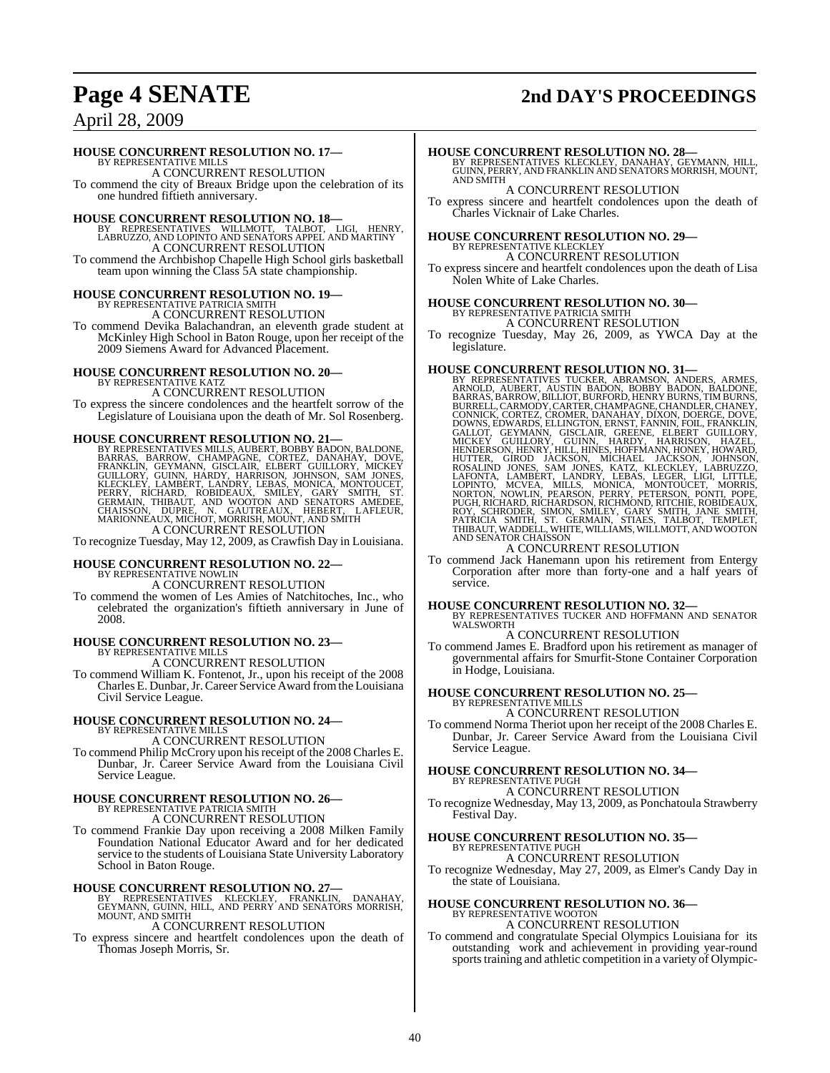# **Page 4 SENATE 2nd DAY'S PROCEEDINGS**

## April 28, 2009

#### **HOUSE CONCURRENT RESOLUTION NO. 17—**

BY REPRESENTATIVE MILLS A CONCURRENT RESOLUTION

To commend the city of Breaux Bridge upon the celebration of its one hundred fiftieth anniversary.

**HOUSE CONCURRENT RESOLUTION NO. 18**<br>BY REPRESENTATIVES WILLMOTT, TALBOT, LIGI, HENRY,<br>LABRUZZO, AND LOPINTO AND SENATORS APPEL AND MARTINY<br>A CONCURRENT RESOLUTION

To commend the Archbishop Chapelle High School girls basketball team upon winning the Class 5A state championship.

# **HOUSE CONCURRENT RESOLUTION NO. 19—** BY REPRESENTATIVE PATRICIA SMITH

A CONCURRENT RESOLUTION

To commend Devika Balachandran, an eleventh grade student at McKinley High School in Baton Rouge, upon her receipt of the 2009 Siemens Award for Advanced Placement.

# **HOUSE CONCURRENT RESOLUTION NO. 20—** BY REPRESENTATIVE KATZ

A CONCURRENT RESOLUTION

To express the sincere condolences and the heartfelt sorrow of the Legislature of Louisiana upon the death of Mr. Sol Rosenberg.

HOUSE CONCURRENT RESOLUTION NO. 21—<br>BY REPRESENTATIVES MILLS, AUBERT, BOBBY BADDONE, BARRAS, BARROW, CHAMPAGNE, CORTEZ, DANAHAY, DOVE, FRANKLIN, GEYMANN, GISCLAIR, ELBERT GUILLORY, MICKEY<br>GUILLORY, GUINN, HARDY, HARRISON, A CONCURRENT RESOLUTION

To recognize Tuesday, May 12, 2009, as Crawfish Day in Louisiana.

# **HOUSE CONCURRENT RESOLUTION NO. 22—** BY REPRESENTATIVE NOWLIN

A CONCURRENT RESOLUTION

To commend the women of Les Amies of Natchitoches, Inc., who celebrated the organization's fiftieth anniversary in June of 2008.

# **HOUSE CONCURRENT RESOLUTION NO. 23—** BY REPRESENTATIVE MILLS

A CONCURRENT RESOLUTION

To commend William K. Fontenot, Jr., upon his receipt of the 2008 Charles E. Dunbar,Jr.Career Service Award fromthe Louisiana Civil Service League.

# **HOUSE CONCURRENT RESOLUTION NO. 24—** BY REPRESENTATIVE MILLS A CONCURRENT RESOLUTION

To commend Philip McCrory upon hisreceipt of the 2008 Charles E. Dunbar, Jr. Career Service Award from the Louisiana Civil Service League.

# **HOUSE CONCURRENT RESOLUTION NO. 26—** BY REPRESENTATIVE PATRICIA SMITH

A CONCURRENT RESOLUTION

To commend Frankie Day upon receiving a 2008 Milken Family Foundation National Educator Award and for her dedicated service to the students of Louisiana State University Laboratory School in Baton Rouge.

**HOUSE CONCURRENT RESOLUTION NO. 27—**<br>BY REPRESENTATIVES KLECKLEY, FRANKLIN, DANAHAY,<br>GEYMANN, GUINN, HILL, AND PERRY AND SENATORS MORRISH,<br>MOUNT, AND SMITH A CONCURRENT RESOLUTION

To express sincere and heartfelt condolences upon the death of Thomas Joseph Morris, Sr.

**HOUSE CONCURRENT RESOLUTION NO. 28—**<br>BY REPRESENTATIVES KLECKLEY, DANAHAY, GEYMANN, HILL,<br>GUINN, PERRY, AND FRANKLIN AND SENATORS MORRISH, MOUNT,<br>AND SMITH

A CONCURRENT RESOLUTION

To express sincere and heartfelt condolences upon the death of Charles Vicknair of Lake Charles.

# **HOUSE CONCURRENT RESOLUTION NO. 29—** BY REPRESENTATIVE KLECKLEY

A CONCURRENT RESOLUTION

To express sincere and heartfelt condolences upon the death of Lisa Nolen White of Lake Charles.

# **HOUSE CONCURRENT RESOLUTION NO. 30—** BY REPRESENTATIVE PATRICIA SMITH A CONCURRENT RESOLUTION

- 
- To recognize Tuesday, May 26, 2009, as YWCA Day at the legislature.

- HOUSE CONCURRENT RESOLUTION NO. 31—<br>BY REPRESENTATIVES TUCKER, ABRAMSON, ANDERS, ARMES, ARNOLD, AUBERT, AUSTIN BADON, BOBBY BADON, BALDONE, BARRAS, BARROW, BILLIOT, BURFORD, HENRY BURNS, TIM BURNS, BURRELL, CARMODY, CARTER
- To commend Jack Hanemann upon his retirement from Entergy Corporation after more than forty-one and a half years of service.

**HOUSE CONCURRENT RESOLUTION NO. 32—** BY REPRESENTATIVES TUCKER AND HOFFMANN AND SENATOR WALSWORTH A CONCURRENT RESOLUTION

To commend James E. Bradford upon his retirement as manager of governmental affairs for Smurfit-Stone Container Corporation in Hodge, Louisiana.

#### **HOUSE CONCURRENT RESOLUTION NO. 25—**

BY REPRESENTATIVE MILLS A CONCURRENT RESOLUTION

To commend Norma Theriot upon her receipt of the 2008 Charles E. Dunbar, Jr. Career Service Award from the Louisiana Civil Service League.

# **HOUSE CONCURRENT RESOLUTION NO. 34—** BY REPRESENTATIVE PUGH

A CONCURRENT RESOLUTION

To recognize Wednesday, May 13, 2009, as Ponchatoula Strawberry Festival Day.

# **HOUSE CONCURRENT RESOLUTION NO. 35—** BY REPRESENTATIVE PUGH

A CONCURRENT RESOLUTION

To recognize Wednesday, May 27, 2009, as Elmer's Candy Day in the state of Louisiana.

## **HOUSE CONCURRENT RESOLUTION NO. 36—** BY REPRESENTATIVE WOOTON A CONCURRENT RESOLUTION

To commend and congratulate Special Olympics Louisiana for its outstanding work and achievement in providing year-round sports training and athletic competition in a variety of Olympic-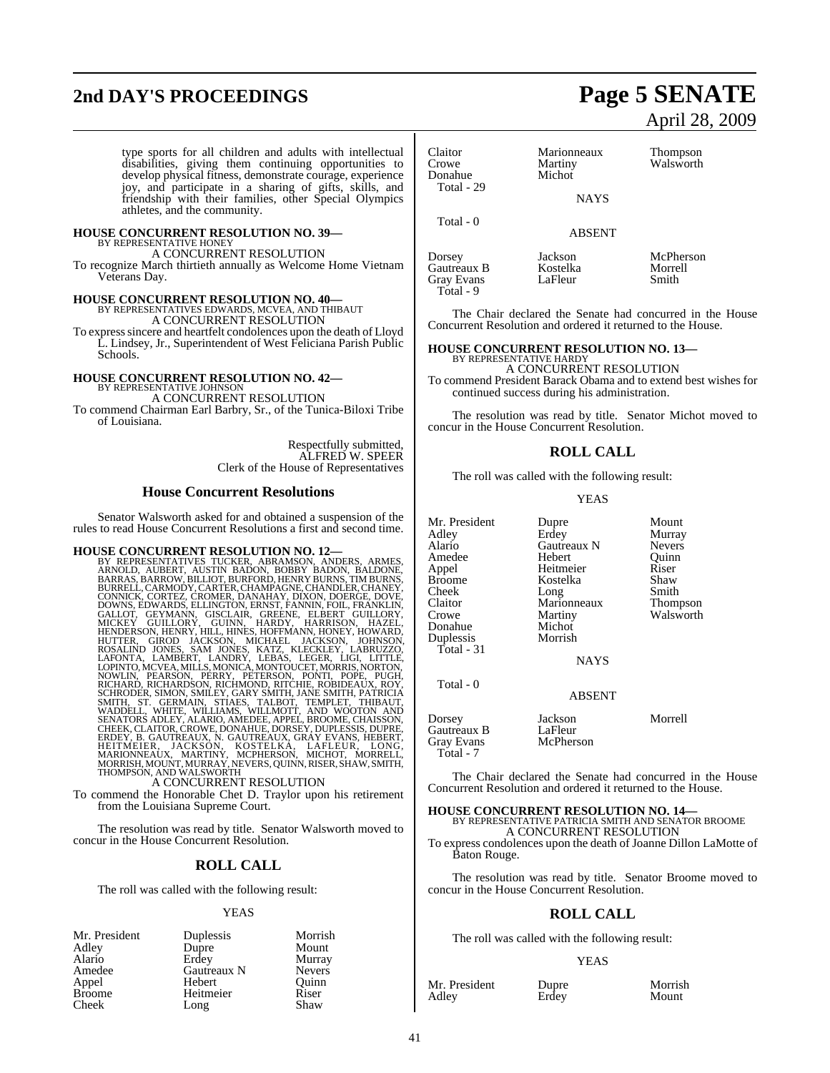# **2nd DAY'S PROCEEDINGS Page 5 SENATE**

type sports for all children and adults with intellectual disabilities, giving them continuing opportunities to develop physical fitness, demonstrate courage, experience joy, and participate in a sharing of gifts, skills, and friendship with their families, other Special Olympics athletes, and the community.

#### **HOUSE CONCURRENT RESOLUTION NO. 39—** BY REPRESENTATIVE HONEY

A CONCURRENT RESOLUTION

To recognize March thirtieth annually as Welcome Home Vietnam Veterans Day.

# **HOUSE CONCURRENT RESOLUTION NO. 40—** BY REPRESENTATIVES EDWARDS, MCVEA, AND THIBAUT

A CONCURRENT RESOLUTION To expresssincere and heartfelt condolences upon the death of Lloyd L. Lindsey, Jr., Superintendent of West Feliciana Parish Public Schools.

# **HOUSE CONCURRENT RESOLUTION NO. 42—** BY REPRESENTATIVE JOHNSON

A CONCURRENT RESOLUTION

To commend Chairman Earl Barbry, Sr., of the Tunica-Biloxi Tribe of Louisiana.

> Respectfully submitted, ALFRED W. SPEER Clerk of the House of Representatives

#### **House Concurrent Resolutions**

Senator Walsworth asked for and obtained a suspension of the rules to read House Concurrent Resolutions a first and second time.

HOUSE CONCURRENT RESOLUTION NO. 12—<br>BY REPRESENTATIVES TUCKER, ABRAMSON, ANDERS, ARMES, ARNOLD, AUBERT, AUSTIN BADON, BOBBY BADON, BALDONE, BARRAS, BARROW, BILLIOT, BURFORD, HENRY BURNS, TUMBURNS, BURRELL, CARMODY, CARTER, SMITH, ST. GERMAIN, STIAES, TALBOT, TEMPLET, THIBAUT,<br>WADDELL, WHITE, WILLIAMS, WILLMOTT, AND WOOTON AND<br>SENATORS ADLEY, ALARIO, AMEDEE, APPEL, BROOME, CHAISSON,<br>CHEEK,CLAITOR,CROWE,DONAHUE,DORSEY,DUPLESSIS,DUPRE,<br>ERDEY, B

#### A CONCURRENT RESOLUTION

To commend the Honorable Chet D. Traylor upon his retirement from the Louisiana Supreme Court.

The resolution was read by title. Senator Walsworth moved to concur in the House Concurrent Resolution.

### **ROLL CALL**

The roll was called with the following result:

#### **YEAS**

| Mr. President | Duplessis   | Morrish       |
|---------------|-------------|---------------|
| Adley         | Dupre       | Mount         |
| Alario        | Erdey       | Murray        |
| Amedee        | Gautreaux N | <b>Nevers</b> |
| Appel         | Hebert      | Ouinn         |
| <b>Broome</b> | Heitmeier   | Riser         |
| Cheek         | Long        | Shaw          |

# April 28, 2009

| Claitor<br>Crowe<br>Donahue<br>Total - 29               | Marionneaux<br>Martiny<br>Michot | <b>Thompson</b><br>Walsworth  |
|---------------------------------------------------------|----------------------------------|-------------------------------|
|                                                         | <b>NAYS</b>                      |                               |
| Total $-0$                                              | <b>ABSENT</b>                    |                               |
| Dorsey<br>Gautreaux B<br><b>Gray Evans</b><br>Total - 9 | Jackson<br>Kostelka<br>LaFleur   | McPherson<br>Morrell<br>Smith |

The Chair declared the Senate had concurred in the House Concurrent Resolution and ordered it returned to the House.

# **HOUSE CONCURRENT RESOLUTION NO. 13—** BY REPRESENTATIVE HARDY

A CONCURRENT RESOLUTION To commend President Barack Obama and to extend best wishes for continued success during his administration.

The resolution was read by title. Senator Michot moved to concur in the House Concurrent Resolution.

#### **ROLL CALL**

The roll was called with the following result:

#### YEAS

Gautreaux N Nevers<br>Hebert Quinn

Kostelka Shaw<br>Long Smith

Martiny Walsworth<br>Michot

Mr. President Dupre Mount<br>Adlev Erdey Murray Adley Erdey Murray Amedee Hebert Quinr<br>
Appel Heitmeier Riser Appel Heitmeier Riser Cheek Long Smith<br>Claitor Marionneaux Thompson Claitor Marionneaux<br>Crowe Martiny Donahue Michot<br>Duplessis Morrish Duplessis Total - 31

Total - 0

ABSENT

NAYS

Dorsey Jackson Morrell Gautreaux B LaFleur<br>Grav Evans McPherson Gray Evans Total - 7

The Chair declared the Senate had concurred in the House Concurrent Resolution and ordered it returned to the House.

## **HOUSE CONCURRENT RESOLUTION NO. 14—**

BY REPRESENTATIVE PATRICIA SMITH AND SENATOR BROOME A CONCURRENT RESOLUTION To express condolences upon the death of Joanne Dillon LaMotte of Baton Rouge.

The resolution was read by title. Senator Broome moved to concur in the House Concurrent Resolution.

#### **ROLL CALL**

The roll was called with the following result:

#### YEAS

Mr. President Dupre Morrish<br>Adley Erdev Mount Adley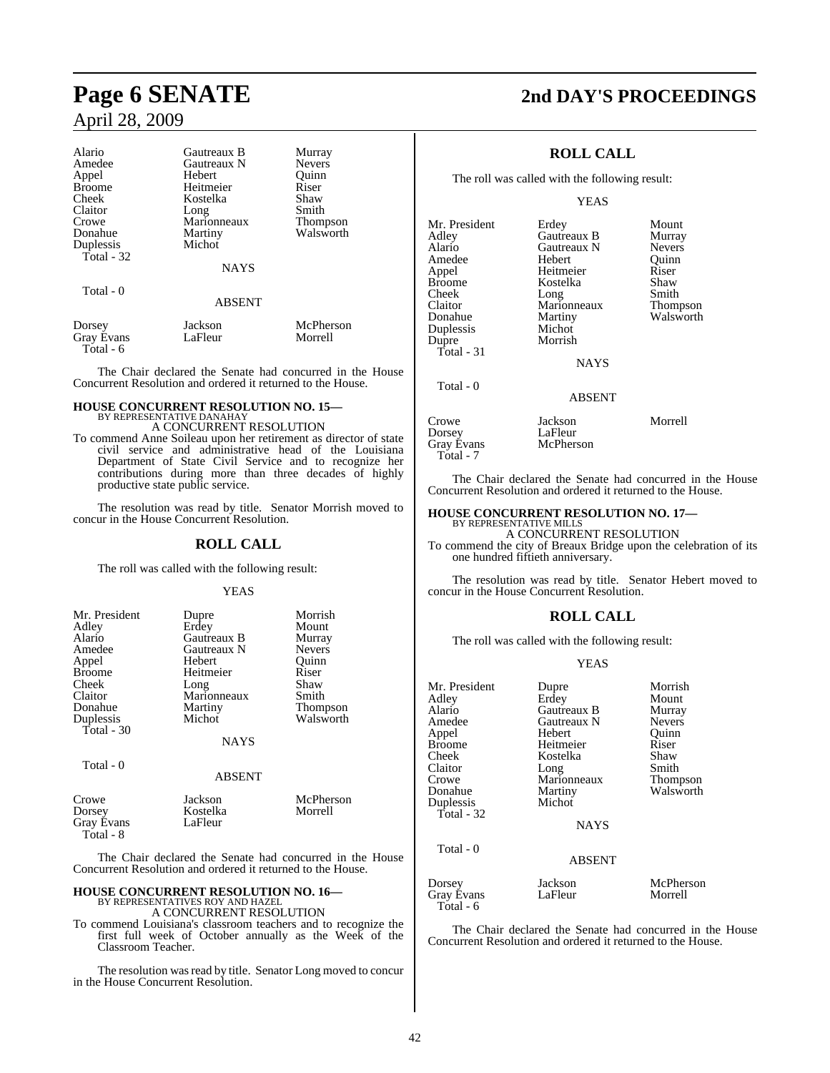# April 28, 2009

| Alario            | Gautreaux B        | Murray        |
|-------------------|--------------------|---------------|
| Amedee            | Gautreaux N        | <b>Nevers</b> |
| Appel             | Hebert             | Ouinn         |
| <b>Broome</b>     | Heitmeier          | Riser         |
| Cheek             | Kostelka           | Shaw          |
| Claitor           | Long               | Smith         |
| Crowe             | Marionneaux        | Thompson      |
| Donahue           | Martiny            | Walsworth     |
| Duplessis         | Michot             |               |
| Total $-32$       |                    |               |
|                   | <b>NAYS</b>        |               |
| Total - 0         |                    |               |
|                   | <b>ABSENT</b>      |               |
| Dorsey            | Jackson<br>LaFleur | McPherson     |
| <b>Gray Evans</b> |                    | Morrell       |

Total - 6

The Chair declared the Senate had concurred in the House Concurrent Resolution and ordered it returned to the House.

## **HOUSE CONCURRENT RESOLUTION NO. 15—** BY REPRESENTATIVE DANAHAY A CONCURRENT RESOLUTION

To commend Anne Soileau upon her retirement as director of state civil service and administrative head of the Louisiana Department of State Civil Service and to recognize her contributions during more than three decades of highly productive state public service.

The resolution was read by title. Senator Morrish moved to concur in the House Concurrent Resolution.

#### **ROLL CALL**

The roll was called with the following result:

#### YEAS

| Mr. President | Dupre       | Morrish       |
|---------------|-------------|---------------|
| Adley         | Erdey       | Mount         |
| Alario        | Gautreaux B | Murray        |
| Amedee        | Gautreaux N | <b>Nevers</b> |
| Appel         | Hebert      | Ouinn         |
| <b>Broome</b> | Heitmeier   | Riser         |
| Cheek         | Long        | Shaw          |
| Claitor       | Marionneaux | Smith         |
| Donahue       | Martiny     | Thompson      |
| Duplessis     | Michot      | Walsworth     |
| Total - 30    |             |               |
|               | <b>NAYS</b> |               |
| Total - 0     |             |               |
|               | ABSENT      |               |

#### Crowe Jackson McPherson<br>
Dorsey Kostelka Morrell Kostelka<br>LaFleur Gray Evans  $Total - 8$

The Chair declared the Senate had concurred in the House Concurrent Resolution and ordered it returned to the House.

## **HOUSE CONCURRENT RESOLUTION NO. 16—** BY REPRESENTATIVES ROY AND HAZEL A CONCURRENT RESOLUTION

To commend Louisiana's classroom teachers and to recognize the first full week of October annually as the Week of the Classroom Teacher.

The resolution was read by title. Senator Long moved to concur in the House Concurrent Resolution.

# **Page 6 SENATE 2nd DAY'S PROCEEDINGS**

## **ROLL CALL**

The roll was called with the following result:

YEAS

| Mr. President | Erdey         | Mount         |
|---------------|---------------|---------------|
| Adley         | Gautreaux B   | Murray        |
| Alario        | Gautreaux N   | <b>Nevers</b> |
| Amedee        | Hebert        | Ouinn         |
| Appel         | Heitmeier     | Riser         |
| <b>Broome</b> | Kostelka      | Shaw          |
| Cheek         | Long          | Smith         |
| Claitor       | Marionneaux   | Thompson      |
| Donahue       | Martiny       | Walsworth     |
| Duplessis     | Michot        |               |
| Dupre         | Morrish       |               |
| Total - 31    |               |               |
|               | <b>NAYS</b>   |               |
| Total - 0     |               |               |
|               | <b>ABSENT</b> |               |
|               |               |               |

| Crowe      | Jackson   | Morrell |
|------------|-----------|---------|
| Dorsev     | LaFleur   |         |
| Gray Évans | McPherson |         |
| Total - 7  |           |         |

The Chair declared the Senate had concurred in the House Concurrent Resolution and ordered it returned to the House.

### **HOUSE CONCURRENT RESOLUTION NO. 17—**

BY REPRESENTATIVE MILLS A CONCURRENT RESOLUTION

To commend the city of Breaux Bridge upon the celebration of its one hundred fiftieth anniversary.

The resolution was read by title. Senator Hebert moved to concur in the House Concurrent Resolution.

## **ROLL CALL**

The roll was called with the following result:

#### YEAS

| Mr. President<br>Adley<br>Alario<br>Amedee               | Dupre<br>Erdey<br>Gautreaux B<br>Gautreaux N            | Morrish<br>Mount<br>Murray<br><b>Nevers</b> |
|----------------------------------------------------------|---------------------------------------------------------|---------------------------------------------|
| Appel<br><b>Broome</b><br>Cheek                          | Hebert<br>Heitmeier<br>Kostelka                         | Ouinn<br>Riser<br>Shaw                      |
| Claitor<br>Crowe<br>Donahue<br>Duplessis<br>Total - $32$ | Long<br>Marionneaux<br>Martiny<br>Michot<br><b>NAYS</b> | Smith<br>Thompson<br>Walsworth              |
| Total - 0                                                | <b>ABSENT</b>                                           |                                             |
| Dorsey<br><b>Gray Evans</b><br>Total - 6                 | Jackson<br>LaFleur                                      | McPherson<br>Morrell                        |

The Chair declared the Senate had concurred in the House Concurrent Resolution and ordered it returned to the House.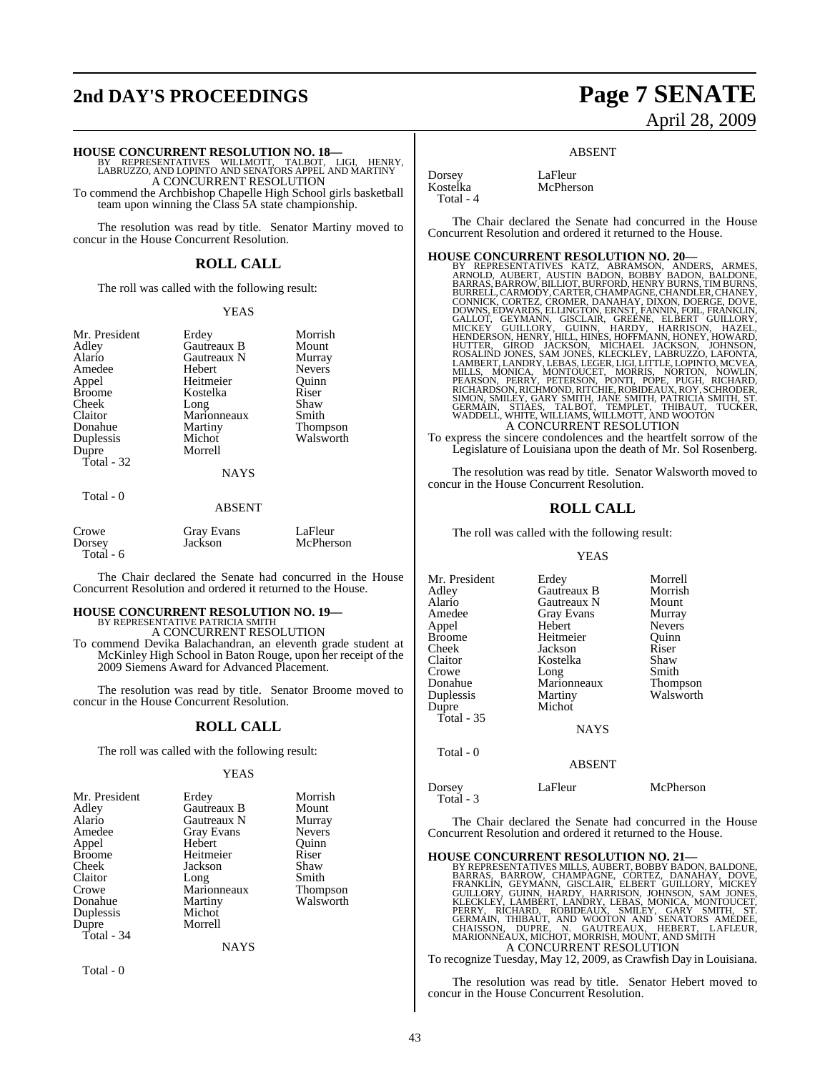# **2nd DAY'S PROCEEDINGS Page 7 SENATE**

# April 28, 2009

**HOUSE CONCURRENT RESOLUTION NO. 18—** BY REPRESENTATIVES WILLMOTT, TALBOT, LIGI, HENRY, LABRUZZO, AND LOPINTO AND SENATORS APPEL AND MARTINY A CONCURRENT RESOLUTION To commend the Archbishop Chapelle High School girls basketball

team upon winning the Class 5A state championship.

The resolution was read by title. Senator Martiny moved to concur in the House Concurrent Resolution.

#### **ROLL CALL**

The roll was called with the following result:

#### YEAS

Thompson Walsworth

| Erdey       | Morrish       |
|-------------|---------------|
| Gautreaux B | Mount         |
| Gautreaux N | Murray        |
| Hebert      | <b>Nevers</b> |
| Heitmeier   | Ouinn         |
| Kostelka    | Riser         |
| Long        | Shaw          |
| Marionneaux | Smith         |
| Martiny     | <b>Thomps</b> |
| Michot      | Walswo        |
| Morrell     |               |
|             |               |
| <b>NAYS</b> |               |
|             |               |

#### **AYS**

| отя |  |  |
|-----|--|--|
|-----|--|--|

#### ABSENT

| Crowe      | Gray Evans | LaFleur   |
|------------|------------|-----------|
| Dorsey     | Jackson    | McPherson |
| Total $-6$ |            |           |

The Chair declared the Senate had concurred in the House Concurrent Resolution and ordered it returned to the House.

#### **HOUSE CONCURRENT RESOLUTION NO. 19—** BY REPRESENTATIVE PATRICIA SMITH

A CONCURRENT RESOLUTION To commend Devika Balachandran, an eleventh grade student at McKinley High School in Baton Rouge, upon her receipt of the 2009 Siemens Award for Advanced Placement.

The resolution was read by title. Senator Broome moved to concur in the House Concurrent Resolution.

#### **ROLL CALL**

The roll was called with the following result:

#### YEAS

| Mr. President | Erdey             | Morrish         |
|---------------|-------------------|-----------------|
| Adley         | Gautreaux B       | Mount           |
| Alario        | Gautreaux N       | Murray          |
| Amedee        | <b>Gray Evans</b> | <b>Nevers</b>   |
| Appel         | Hebert            | Ouinn           |
| Broome        | Heitmeier         | Riser           |
| Cheek         | Jackson           | Shaw            |
| Claitor       | Long              | Smith           |
| Crowe         | Marionneaux       | <b>Thompson</b> |
| Donahue       | Martiny           | Walsworth       |
| Duplessis     | Michot            |                 |
| Dupre         | Morrell           |                 |
| Total - 34    |                   |                 |
|               | <b>NAYS</b>       |                 |
|               |                   |                 |

Total - 0

Dorsey LaFleur McPherson

Total - 4

The Chair declared the Senate had concurred in the House Concurrent Resolution and ordered it returned to the House.

ABSENT

#### **HOUSE CONCURRENT RESOLUTION NO. 20—**

BY REPRESENTATIVES KATZ, ABRAMSON, ANDERS, ARMES, ARNOLD, AUBERT, AUSTIN BADON, BOBBY BADON, BALDONE, BARRAS, BARROW, BILLIOT, BURFORD, HENRY BURNS, TIM BURNS, BURRELL, CARMODY, CARITER, CHAMPAGNE, CHAMPACK, CONNICK, CONTEZ, CROMER, DANAHAY, DIXON, DOERGE, DOVE, GALLOT, GEYMARDS, ELLINGTON, ERNST, FANNIN, FOIL GREENE, GUIL

To express the sincere condolences and the heartfelt sorrow of the Legislature of Louisiana upon the death of Mr. Sol Rosenberg.

The resolution was read by title. Senator Walsworth moved to concur in the House Concurrent Resolution.

#### **ROLL CALL**

The roll was called with the following result:

#### YEAS

| Mr. President       | Erdey             | Morrell         |
|---------------------|-------------------|-----------------|
| Adlev               | Gautreaux B       | Morrish         |
| Alario              | Gautreaux N       | Mount           |
| Amedee              | <b>Gray Evans</b> | Murray          |
| Appel               | Hebert            | <b>Nevers</b>   |
| Broome              | Heitmeier         | Quinn           |
| Cheek               | Jackson           | Riser           |
| Claitor             | Kostelka          | Shaw            |
| Crowe               | Long              | Smith           |
| Donahue             | Marionneaux       | <b>Thompson</b> |
| Duplessis           | Martiny           | Walsworth       |
| Dupre               | Michot            |                 |
| Total - 35          |                   |                 |
|                     | <b>NAYS</b>       |                 |
| Total - 0           |                   |                 |
|                     | <b>ABSENT</b>     |                 |
| Dorsey<br>Total - 3 | LaFleur           | McPherson       |
|                     |                   |                 |

The Chair declared the Senate had concurred in the House Concurrent Resolution and ordered it returned to the House.

**HOUSE CONCURRENT RESOLUTION NO. 21—**<br>BY REPRESENTATIVES MILLS, AUBERT, BOBBY BADDONE, BARRAS, BARROW, CHAMPAGNE, CORTEZ, DANAHAY, DOVE, FRANKLIN, GEYMANN, GISCLAIR, ELBERT GUILLORY, MICKEY<br>GUILLORY, GUINN, HARDY, HARRISON

To recognize Tuesday, May 12, 2009, as Crawfish Day in Louisiana.

The resolution was read by title. Senator Hebert moved to concur in the House Concurrent Resolution.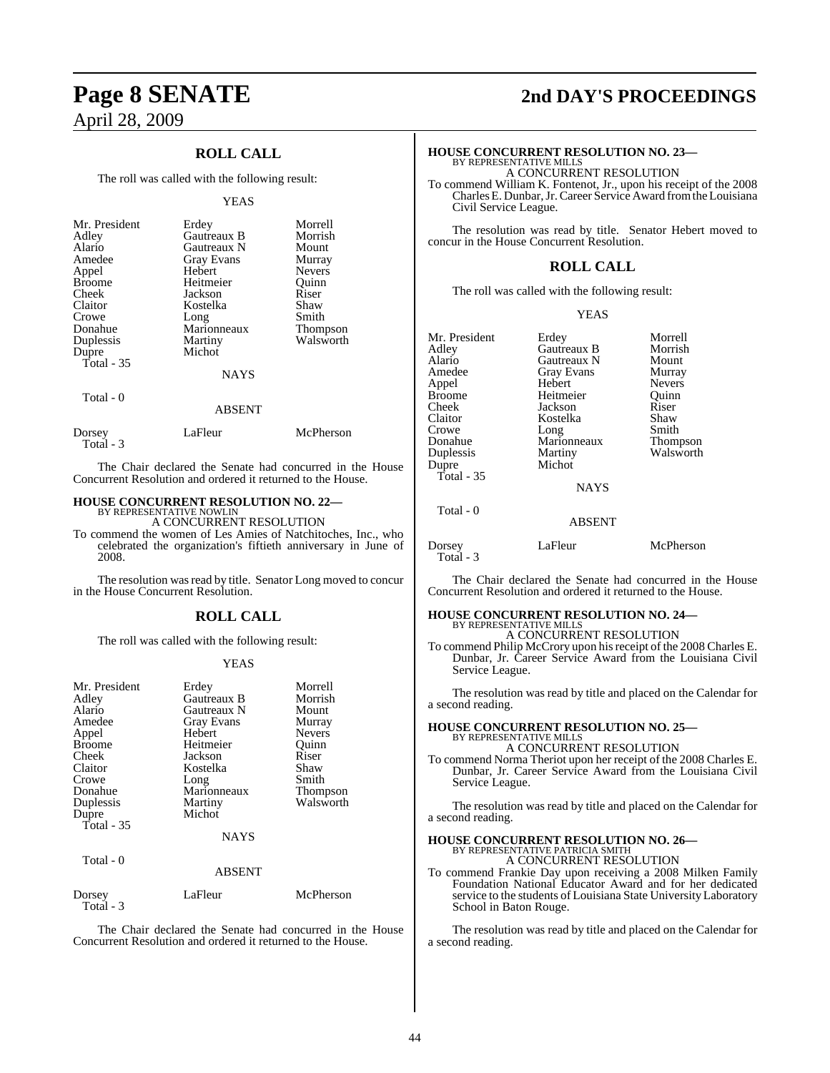# April 28, 2009

## **ROLL CALL**

The roll was called with the following result:

#### YEAS

| Mr. President<br>Adley<br>Alario<br>Amedee<br>Appel<br><b>Broome</b><br>Cheek<br>Claitor<br>Crowe<br>Donahue<br>Duplessis<br>Dupre<br>Total $-35$ | Erdey<br>Gautreaux B<br>Gautreaux N<br><b>Gray Evans</b><br>Hebert<br>Heitmeier<br>Jackson<br>Kostelka<br>Long<br>Marionneaux<br>Martiny<br>Michot<br><b>NAYS</b> | Morrell<br>Morrish<br>Mount<br>Murray<br><b>Nevers</b><br>Quinn<br>Riser<br>Shaw<br>Smith<br>Thompson<br>Walsworth |
|---------------------------------------------------------------------------------------------------------------------------------------------------|-------------------------------------------------------------------------------------------------------------------------------------------------------------------|--------------------------------------------------------------------------------------------------------------------|
|                                                                                                                                                   |                                                                                                                                                                   |                                                                                                                    |
| Total - 0                                                                                                                                         | <b>ABSENT</b>                                                                                                                                                     |                                                                                                                    |
| Dorsey                                                                                                                                            | LaFleur                                                                                                                                                           | McPherson                                                                                                          |

Total - 3

The Chair declared the Senate had concurred in the House Concurrent Resolution and ordered it returned to the House.

# **HOUSE CONCURRENT RESOLUTION NO. 22—** BY REPRESENTATIVE NOWLIN

A CONCURRENT RESOLUTION

To commend the women of Les Amies of Natchitoches, Inc., who celebrated the organization's fiftieth anniversary in June of 2008.

The resolution was read by title. Senator Long moved to concur in the House Concurrent Resolution.

#### **ROLL CALL**

The roll was called with the following result:

#### YEAS

| Mr. President<br>Adley<br>Alario<br>Amedee<br>Appel<br><b>Broome</b><br>Cheek<br>Claitor<br>Crowe<br>Donahue<br>Duplessis<br>Dupre<br>Total $-35$ | Erdey<br>Gautreaux B<br>Gautreaux N<br><b>Gray Evans</b><br>Hebert<br>Heitmeier<br>Jackson<br>Kostelka<br>Long<br>Marionneaux<br>Martiny<br>Michot<br><b>NAYS</b> | Morrell<br>Morrish<br>Mount<br>Murray<br><b>Nevers</b><br>Ouinn<br>Riser<br>Shaw<br>Smith<br>Thompson<br>Walsworth |
|---------------------------------------------------------------------------------------------------------------------------------------------------|-------------------------------------------------------------------------------------------------------------------------------------------------------------------|--------------------------------------------------------------------------------------------------------------------|
| Total - 0                                                                                                                                         | <b>ABSENT</b>                                                                                                                                                     |                                                                                                                    |
| Dorsey<br>Total - 3                                                                                                                               | LaFleur                                                                                                                                                           | McPherson                                                                                                          |

The Chair declared the Senate had concurred in the House Concurrent Resolution and ordered it returned to the House.

# **Page 8 SENATE 2nd DAY'S PROCEEDINGS**

# **HOUSE CONCURRENT RESOLUTION NO. 23—** BY REPRESENTATIVE MILLS

A CONCURRENT RESOLUTION

To commend William K. Fontenot, Jr., upon his receipt of the 2008 CharlesE. Dunbar,Jr.Career Service Award fromtheLouisiana Civil Service League.

The resolution was read by title. Senator Hebert moved to concur in the House Concurrent Resolution.

#### **ROLL CALL**

The roll was called with the following result:

YEAS

| Mr. President     | Erdey             | Morrell       |
|-------------------|-------------------|---------------|
| Adley             | Gautreaux B       | Morrish       |
| Alario            | Gautreaux N       | Mount         |
| Amedee            | <b>Gray Evans</b> | Murray        |
| Appel             | Hebert            | <b>Nevers</b> |
| <b>Broome</b>     | Heitmeier         | Ouinn         |
| Cheek             | Jackson           | Riser         |
| Claitor           | Kostelka          | Shaw          |
| Crowe             | Long              | Smith         |
| Donahue           | Marionneaux       | Thompson      |
| Duplessis         | Martiny           | Walsworth     |
| Dupre             | Michot            |               |
| <b>Total - 35</b> |                   |               |

Total - 0

**NAYS** 

#### ABSENT

| Dorsey<br>Total - 3 | LaFleur | McPherson |
|---------------------|---------|-----------|
|                     |         |           |

The Chair declared the Senate had concurred in the House Concurrent Resolution and ordered it returned to the House.

## **HOUSE CONCURRENT RESOLUTION NO. 24—**

BY REPRESENTATIVE MILLS A CONCURRENT RESOLUTION

To commend Philip McCrory upon hisreceipt of the 2008 Charles E. Dunbar, Jr. Career Service Award from the Louisiana Civil Service League.

The resolution was read by title and placed on the Calendar for a second reading.

## **HOUSE CONCURRENT RESOLUTION NO. 25—** BY REPRESENTATIVE MILLS A CONCURRENT RESOLUTION

To commend Norma Theriot upon her receipt of the 2008 Charles E. Dunbar, Jr. Career Service Award from the Louisiana Civil Service League.

The resolution was read by title and placed on the Calendar for a second reading.

# **HOUSE CONCURRENT RESOLUTION NO. 26—** BY REPRESENTATIVE PATRICIA SMITH A CONCURRENT RESOLUTION

To commend Frankie Day upon receiving a 2008 Milken Family Foundation National Educator Award and for her dedicated service to the students of Louisiana State University Laboratory School in Baton Rouge.

The resolution was read by title and placed on the Calendar for a second reading.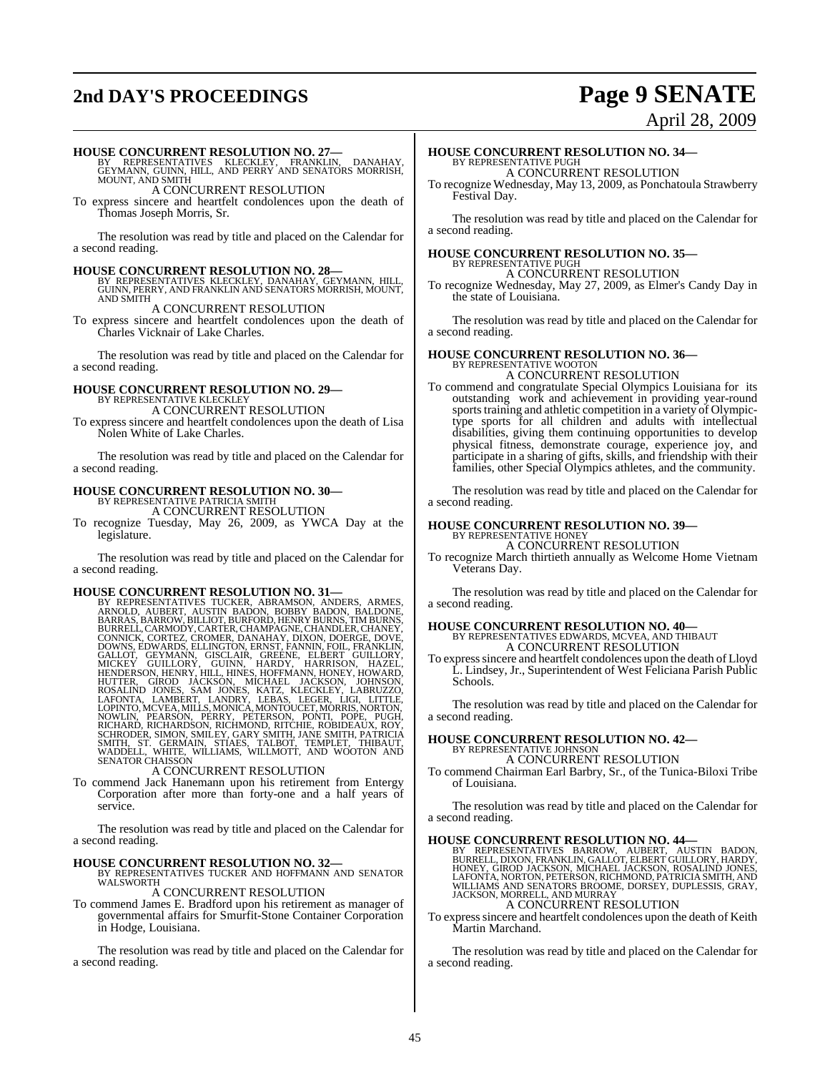# **2nd DAY'S PROCEEDINGS Page 9 SENATE**

# April 28, 2009

**HOUSE CONCURRENT RESOLUTION NO. 27—**<br>BY REPRESENTATIVES KLECKLEY, FRANKLIN, DANAHAY,<br>GEYMANN, GUINN, HILL, AND PERRY AND SENATORS MORRISH,<br>MOUNT, AND SMITH

A CONCURRENT RESOLUTION

To express sincere and heartfelt condolences upon the death of Thomas Joseph Morris, Sr.

The resolution was read by title and placed on the Calendar for a second reading.

#### **HOUSE CONCURRENT RESOLUTION NO. 28—**

BY REPRESENTATIVES KLECKLEY, DANAHAY, GEYMANN, HILL, GUINN, PERRY, AND FRANKLIN AND SENATORS MORRISH, MOUNT, AND SMITH

A CONCURRENT RESOLUTION To express sincere and heartfelt condolences upon the death of Charles Vicknair of Lake Charles.

The resolution was read by title and placed on the Calendar for a second reading.

#### **HOUSE CONCURRENT RESOLUTION NO. 29—** BY REPRESENTATIVE KLECKLEY

A CONCURRENT RESOLUTION

To express sincere and heartfelt condolences upon the death of Lisa Nolen White of Lake Charles.

The resolution was read by title and placed on the Calendar for a second reading.

# **HOUSE CONCURRENT RESOLUTION NO. 30—** BY REPRESENTATIVE PATRICIA SMITH

A CONCURRENT RESOLUTION

To recognize Tuesday, May 26, 2009, as YWCA Day at the legislature.

The resolution was read by title and placed on the Calendar for a second reading.

#### **HOUSE CONCURRENT RESOLUTION NO. 31—**

BY REPRESENTATIVES TUCKER, ABRAMSON, ANDERS, ARMES, ARNOLD, AUBERT, AUSTIN BADON, BALDONE, BARRAS, BARROW, BILLIOT, BURGONE, HENRY BURNS, TIM BURNS, CONNICK, CARTER, CHAMPAGNE, CHANDLER, CHANGENING, CONNICK, CONTEZ, CROMER

To commend Jack Hanemann upon his retirement from Entergy Corporation after more than forty-one and a half years of service.

The resolution was read by title and placed on the Calendar for a second reading.

# **HOUSE CONCURRENT RESOLUTION NO. 32—** BY REPRESENTATIVES TUCKER AND HOFFMANN AND SENATOR

WALSWORTH

A CONCURRENT RESOLUTION

To commend James E. Bradford upon his retirement as manager of governmental affairs for Smurfit-Stone Container Corporation in Hodge, Louisiana.

The resolution was read by title and placed on the Calendar for a second reading.

# **HOUSE CONCURRENT RESOLUTION NO. 34—** BY REPRESENTATIVE PUGH

A CONCURRENT RESOLUTION To recognize Wednesday, May 13, 2009, as Ponchatoula Strawberry Festival Day.

The resolution was read by title and placed on the Calendar for a second reading.

#### **HOUSE CONCURRENT RESOLUTION NO. 35—** BY REPRESENTATIVE PUGH A CONCURRENT RESOLUTION

To recognize Wednesday, May 27, 2009, as Elmer's Candy Day in the state of Louisiana.

The resolution was read by title and placed on the Calendar for a second reading.

# **HOUSE CONCURRENT RESOLUTION NO. 36—** BY REPRESENTATIVE WOOTON

A CONCURRENT RESOLUTION

To commend and congratulate Special Olympics Louisiana for its outstanding work and achievement in providing year-round sports training and athletic competition in a variety of Olympictype sports for all children and adults with intellectual disabilities, giving them continuing opportunities to develop physical fitness, demonstrate courage, experience joy, and participate in a sharing of gifts, skills, and friendship with their families, other Special Olympics athletes, and the community.

The resolution was read by title and placed on the Calendar for a second reading.

# **HOUSE CONCURRENT RESOLUTION NO. 39—** BY REPRESENTATIVE HONEY

A CONCURRENT RESOLUTION

To recognize March thirtieth annually as Welcome Home Vietnam Veterans Day.

The resolution was read by title and placed on the Calendar for a second reading.

## **HOUSE CONCURRENT RESOLUTION NO. 40—** BY REPRESENTATIVES EDWARDS, MCVEA, AND THIBAUT A CONCURRENT RESOLUTION

To expresssincere and heartfelt condolences upon the death of Lloyd L. Lindsey, Jr., Superintendent of West Feliciana Parish Public Schools.

The resolution was read by title and placed on the Calendar for a second reading.

# **HOUSE CONCURRENT RESOLUTION NO. 42—** BY REPRESENTATIVE JOHNSON

A CONCURRENT RESOLUTION

To commend Chairman Earl Barbry, Sr., of the Tunica-Biloxi Tribe of Louisiana.

The resolution was read by title and placed on the Calendar for a second reading.

#### **HOUSE CONCURRENT RESOLUTION NO. 44—**

BY REPRESENTATIVES BARROW, AUBERT, AUSTIN BADON, BURRELL, DIXON, FRANKLIN, GALLOT, ELBERT GUILLORY, HARDY, HONEY, GIROD JACKSON, MICHAEL JACKSON, ROSALIND JONES,<br>LAFONTA, NORTON, PETERSON, RICHMOND, PATRICIA SMITH, AND<br>WILLIAMS AND SENATORS BROOME, DORSEY, DUPLESSIS, GRAY,<br>JACKSON, MORRELL, AND MURRAY<br>A CONCURRENT RESOLUTION

To expresssincere and heartfelt condolences upon the death of Keith Martin Marchand.

The resolution was read by title and placed on the Calendar for a second reading.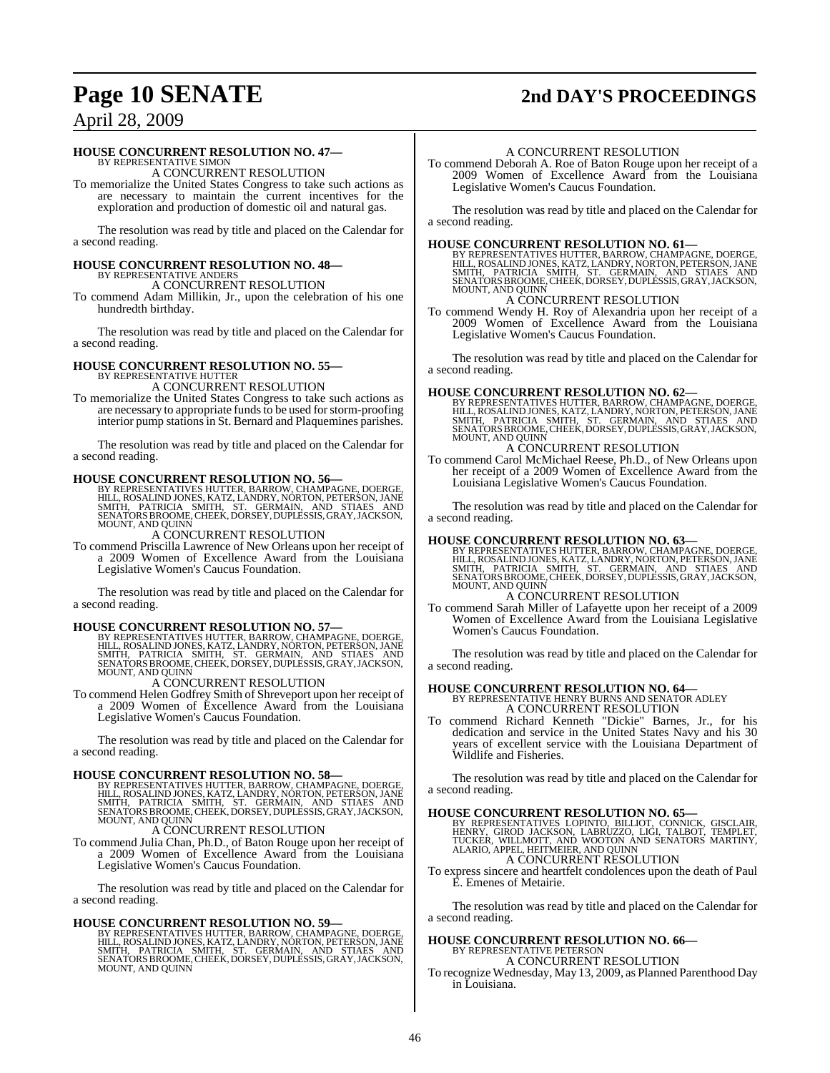# **Page 10 SENATE 2nd DAY'S PROCEEDINGS**

## April 28, 2009

### **HOUSE CONCURRENT RESOLUTION NO. 47—**

BY REPRESENTATIVE SIMON A CONCURRENT RESOLUTION

To memorialize the United States Congress to take such actions as are necessary to maintain the current incentives for the exploration and production of domestic oil and natural gas.

The resolution was read by title and placed on the Calendar for a second reading.

# **HOUSE CONCURRENT RESOLUTION NO. 48—** BY REPRESENTATIVE ANDERS

A CONCURRENT RESOLUTION

To commend Adam Millikin, Jr., upon the celebration of his one hundredth birthday.

The resolution was read by title and placed on the Calendar for a second reading.

# **HOUSE CONCURRENT RESOLUTION NO. 55—** BY REPRESENTATIVE HUTTER

A CONCURRENT RESOLUTION

To memorialize the United States Congress to take such actions as are necessary to appropriate funds to be used for storm-proofing interior pump stations in St. Bernard and Plaquemines parishes.

The resolution was read by title and placed on the Calendar for a second reading.

#### **HOUSE CONCURRENT RESOLUTION NO. 56—**

BY REPRESENTATIVES HUTTER, BARROW, CHAMPAGNE, DOERGE,<br>HILL, ROSALIND JONES, KATZ, LANDRY, NORTON, PETERSON, JANE<br>SMITH, PATRICIA SMITH, ST. GERMAIN, AND STIAES AND<br>SENATORS BROOME, CHEEK, DORSEY, DUPLESSIS, GRAY, JACKSON, MOUNT, AND QUINN

A CONCURRENT RESOLUTION

To commend Priscilla Lawrence of New Orleans upon her receipt of a 2009 Women of Excellence Award from the Louisiana Legislative Women's Caucus Foundation.

The resolution was read by title and placed on the Calendar for a second reading.

**HOUSE CONCURRENT RESOLUTION NO. 57—**<br>BY REPRESENTATIVES HUTTER, BARROW, CHAMPAGNE, DOERGE,<br>HILL, ROSALIND JONES, KATZ, LANDRY, NORTON, PETERSON, JANE<br>SMITH, PATRICIA SMITH, ST. GERMAIN, AND STIAES AND<br>SENATORS BROOME, CHE

A CONCURRENT RESOLUTION

To commend Helen Godfrey Smith of Shreveport upon her receipt of a 2009 Women of Excellence Award from the Louisiana Legislative Women's Caucus Foundation.

The resolution was read by title and placed on the Calendar for a second reading.

**HOUSE CONCURRENT RESOLUTION NO. 58—**<br>BY REPRESENTATIVES HUTTER, BARROW, CHAMPAGNE, DOERGE,<br>HILL, ROSALIND JONES, KATZ, LANDRY, NORTON, PETERSON, JANE<br>SMITH, PATRICIA SMITH, ST. GERMAIN, AND STIAES AND<br>SENATORS BROOME, CHE MOUNT, AND QUINN

A CONCURRENT RESOLUTION

To commend Julia Chan, Ph.D., of Baton Rouge upon her receipt of a 2009 Women of Excellence Award from the Louisiana Legislative Women's Caucus Foundation.

The resolution was read by title and placed on the Calendar for a second reading.

#### **HOUSE CONCURRENT RESOLUTION NO. 59—**

BY REPRESENTATIVES HUTTER, BARROW, CHAMPAGNE, DOERGE,<br>HILL, ROSALIND JONES, KATZ, LANDRY, NORTON, PETERSON, JANE<br>SMITH, PATRICIA - SMITH, - ST. - GERMAIN, - AND - STIAES - AND<br>SENATORS BROOME, CHEEK, DORSEY, DUPLESSIS, GRA

#### A CONCURRENT RESOLUTION

To commend Deborah A. Roe of Baton Rouge upon her receipt of a 2009 Women of Excellence Award from the Louisiana Legislative Women's Caucus Foundation.

The resolution was read by title and placed on the Calendar for a second reading.

**HOUSE CONCURRENT RESOLUTION NO. 61—**<br>BY REPRESENTATIVES HUTTER, BARROW, CHAMPAGNE, DOERGE,<br>HILL, ROSALIND JONES, KATZ, LANDRY, NORTON, PETERSON, JANE<br>SMITH, PATRICIA SMITH, ST. GERMAIN, AND STIAES AND<br>SENATORS BROOME, CHE

#### A CONCURRENT RESOLUTION

To commend Wendy H. Roy of Alexandria upon her receipt of a 2009 Women of Excellence Award from the Louisiana Legislative Women's Caucus Foundation.

The resolution was read by title and placed on the Calendar for a second reading.

#### **HOUSE CONCURRENT RESOLUTION NO. 62—**

BY REPRESENTATIVES HUTTER, BARROW, CHAMPAGNE, DOERGE,<br>HILL, ROSALIND JONES, KATZ, LANDRY, NORTON, PETERSON, JANE<br>SMITH, PATRICIA SMITH, ST. GERMAIN, AND STIAES AND<br>SENATORS BROOME, CHEEK, DORSEY, DUPLE

### A CONCURRENT RESOLUTION

To commend Carol McMichael Reese, Ph.D., of New Orleans upon her receipt of a 2009 Women of Excellence Award from the Louisiana Legislative Women's Caucus Foundation.

The resolution was read by title and placed on the Calendar for a second reading.

#### **HOUSE CONCURRENT RESOLUTION NO. 63—**

BY REPRESENTATIVES HUTTER, BARROW, CHAMPAGNE, DOERGE,<br>HILL, ROSALIND JONES, KATZ, LANDRY, NORTON, PETERSON, JANE<br>SMITH, PATRICIA SMITH, ST. GERMAIN, AND STIAES AND<br>SENATORS BROOME, CHEEK, DORSEY, DUPLE

#### A CONCURRENT RESOLUTION

To commend Sarah Miller of Lafayette upon her receipt of a 2009 Women of Excellence Award from the Louisiana Legislative Women's Caucus Foundation.

The resolution was read by title and placed on the Calendar for a second reading.

# **HOUSE CONCURRENT RESOLUTION NO. 64—** BY REPRESENTATIVE HENRY BURNS AND SENATOR ADLEY

A CONCURRENT RESOLUTION To commend Richard Kenneth "Dickie" Barnes, Jr., for his dedication and service in the United States Navy and his 30 years of excellent service with the Louisiana Department of

The resolution was read by title and placed on the Calendar for a second reading.

Wildlife and Fisheries.

**HOUSE CONCURRENT RESOLUTION NO. 65—**<br>BY REPRESENTATIVES LOPINTO, BILLIOT, CONNICK, GISCLAIR,<br>HENRY, GIROD JACKSON, LABRUZZO, LIGI, TALBOT, TEMPLET,<br>TUCKER, WILLMOTT, AND WOOTON AND SENATORS MARTINY,<br>ALARIO, APPEL, HEITMEI A CONCURRENT RESOLUTION

To express sincere and heartfelt condolences upon the death of Paul E. Emenes of Metairie.

The resolution was read by title and placed on the Calendar for a second reading.

#### **HOUSE CONCURRENT RESOLUTION NO. 66—** BY REPRESENTATIVE PETERSON

#### A CONCURRENT RESOLUTION

To recognize Wednesday, May 13, 2009, as Planned Parenthood Day in Louisiana.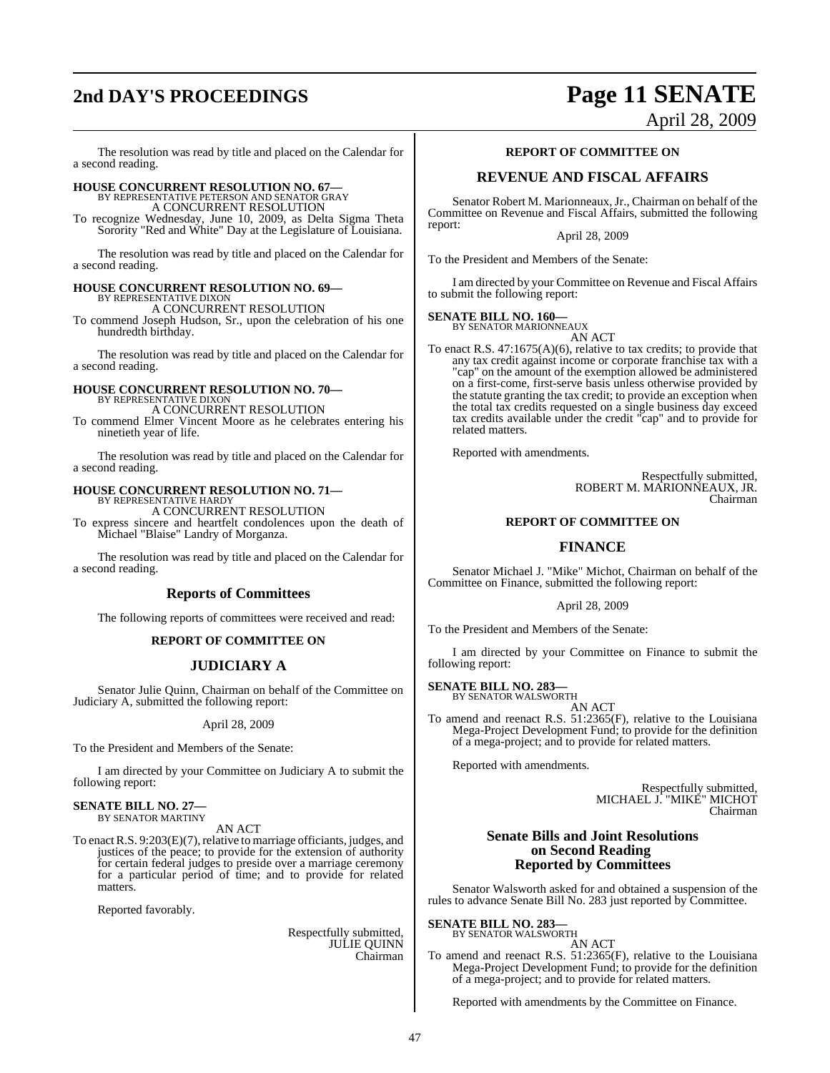# **2nd DAY'S PROCEEDINGS Page 11 SENATE**

April 28, 2009

The resolution was read by title and placed on the Calendar for a second reading.

# **HOUSE CONCURRENT RESOLUTION NO. 67—** BY REPRESENTATIVE PETERSON AND SENATOR GRAY

A CONCURRENT RESOLUTION

To recognize Wednesday, June 10, 2009, as Delta Sigma Theta Sorority "Red and White" Day at the Legislature of Louisiana.

The resolution was read by title and placed on the Calendar for a second reading.

## **HOUSE CONCURRENT RESOLUTION NO. 69—**

BY REPRESENTATIVE DIXON A CONCURRENT RESOLUTION

To commend Joseph Hudson, Sr., upon the celebration of his one hundredth birthday.

The resolution was read by title and placed on the Calendar for a second reading.

#### **HOUSE CONCURRENT RESOLUTION NO. 70—** BY REPRESENTATIVE DIXON

A CONCURRENT RESOLUTION

To commend Elmer Vincent Moore as he celebrates entering his ninetieth year of life.

The resolution was read by title and placed on the Calendar for a second reading.

# **HOUSE CONCURRENT RESOLUTION NO. 71—** BY REPRESENTATIVE HARDY

A CONCURRENT RESOLUTION

To express sincere and heartfelt condolences upon the death of Michael "Blaise" Landry of Morganza.

The resolution was read by title and placed on the Calendar for a second reading.

## **Reports of Committees**

The following reports of committees were received and read:

#### **REPORT OF COMMITTEE ON**

## **JUDICIARY A**

Senator Julie Quinn, Chairman on behalf of the Committee on Judiciary A, submitted the following report:

#### April 28, 2009

To the President and Members of the Senate:

I am directed by your Committee on Judiciary A to submit the following report:

## **SENATE BILL NO. 27—**

BY SENATOR MARTINY

AN ACT To enact R.S.  $9:203(E)(7)$ , relative to marriage officiants, judges, and justices of the peace; to provide for the extension of authority for certain federal judges to preside over a marriage ceremony for a particular period of time; and to provide for related matters.

Reported favorably.

Respectfully submitted, JULIE QUINN Chairman

#### **REPORT OF COMMITTEE ON**

## **REVENUE AND FISCAL AFFAIRS**

Senator Robert M. Marionneaux,Jr., Chairman on behalf of the Committee on Revenue and Fiscal Affairs, submitted the following report:

April 28, 2009

To the President and Members of the Senate:

I am directed by your Committee on Revenue and Fiscal Affairs to submit the following report:

#### **SENATE BILL NO. 160—**

BY SENATOR MARIONNEAUX AN ACT

To enact R.S. 47:1675(A)(6), relative to tax credits; to provide that any tax credit against income or corporate franchise tax with a "cap" on the amount of the exemption allowed be administered on a first-come, first-serve basis unless otherwise provided by the statute granting the tax credit; to provide an exception when the total tax credits requested on a single business day exceed tax credits available under the credit "cap" and to provide for related matters.

Reported with amendments.

Respectfully submitted, ROBERT M. MARIONNEAUX, JR. Chairman

#### **REPORT OF COMMITTEE ON**

## **FINANCE**

Senator Michael J. "Mike" Michot, Chairman on behalf of the Committee on Finance, submitted the following report:

#### April 28, 2009

To the President and Members of the Senate:

I am directed by your Committee on Finance to submit the following report:

**SENATE BILL NO. 283—**

BY SENATOR WALSWORTH AN ACT

To amend and reenact R.S. 51:2365(F), relative to the Louisiana Mega-Project Development Fund; to provide for the definition of a mega-project; and to provide for related matters.

Reported with amendments.

Respectfully submitted, MICHAEL J. "MIKE" MICHOT Chairman

#### **Senate Bills and Joint Resolutions on Second Reading Reported by Committees**

Senator Walsworth asked for and obtained a suspension of the rules to advance Senate Bill No. 283 just reported by Committee.

**SENATE BILL NO. 283—** BY SENATOR WALSWORTH

AN ACT

To amend and reenact R.S. 51:2365(F), relative to the Louisiana Mega-Project Development Fund; to provide for the definition of a mega-project; and to provide for related matters.

Reported with amendments by the Committee on Finance.